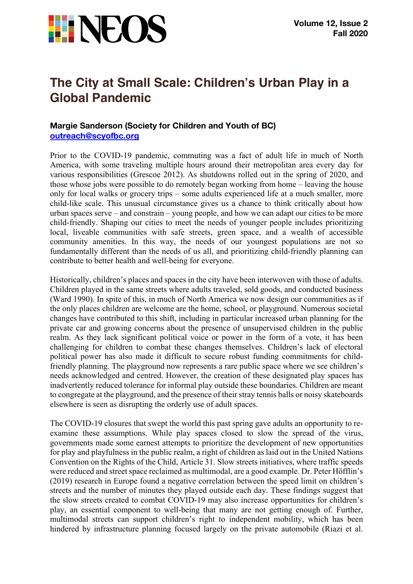

## **The City at Small Scale: Children's Urban Play in a Global Pandemic**

## **Margie Sanderson (Society for Children and Youth of BC) outreach@scyofbc.org**

Prior to the COVID-19 pandemic, commuting was a fact of adult life in much of North America, with some traveling multiple hours around their metropolitan area every day for various responsibilities (Grescoe 2012). As shutdowns rolled out in the spring of 2020, and those whose jobs were possible to do remotely began working from home – leaving the house only for local walks or grocery trips – some adults experienced life at a much smaller, more child-like scale. This unusual circumstance gives us a chance to think critically about how urban spaces serve – and constrain – young people, and how we can adapt our cities to be more child-friendly. Shaping our cities to meet the needs of younger people includes prioritizing local, liveable communities with safe streets, green space, and a wealth of accessible community amenities. In this way, the needs of our youngest populations are not so fundamentally different than the needs of us all, and prioritizing child-friendly planning can contribute to better health and well-being for everyone.

Historically, children's places and spaces in the city have been interwoven with those of adults. Children played in the same streets where adults traveled, sold goods, and conducted business (Ward 1990). In spite of this, in much of North America we now design our communities as if the only places children are welcome are the home, school, or playground. Numerous societal changes have contributed to this shift, including in particular increased urban planning for the private car and growing concerns about the presence of unsupervised children in the public realm. As they lack significant political voice or power in the form of a vote, it has been challenging for children to combat these changes themselves. Children's lack of electoral political power has also made it difficult to secure robust funding commitments for childfriendly planning. The playground now represents a rare public space where we see children's needs acknowledged and centred. However, the creation of these designated play spaces has inadvertently reduced tolerance for informal play outside these boundaries. Children are meant to congregate at the playground, and the presence of their stray tennis balls or noisy skateboards elsewhere is seen as disrupting the orderly use of adult spaces.

The COVID-19 closures that swept the world this past spring gave adults an opportunity to reexamine these assumptions. While play spaces closed to slow the spread of the virus, governments made some earnest attempts to prioritize the development of new opportunities for play and playfulness in the public realm, a right of children as laid out in the United Nations Convention on the Rights of the Child, Article 31. Slow streets initiatives, where traffic speeds were reduced and street space reclaimed as multimodal, are a good example. Dr. Peter Höfflin's (2019) research in Europe found a negative correlation between the speed limit on children's streets and the number of minutes they played outside each day. These findings suggest that the slow streets created to combat COVID-19 may also increase opportunities for children's play, an essential component to well-being that many are not getting enough of. Further, multimodal streets can support children's right to independent mobility, which has been hindered by infrastructure planning focused largely on the private automobile (Riazi et al.